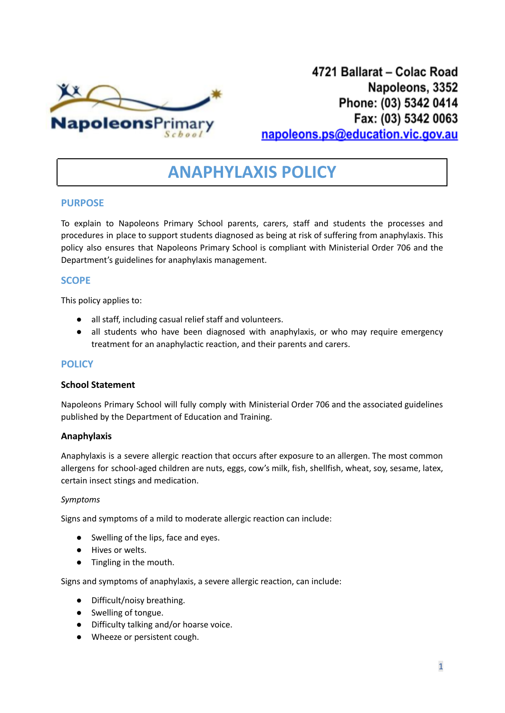

# **ANAPHYLAXIS POLICY**

# **PURPOSE**

To explain to Napoleons Primary School parents, carers, staff and students the processes and procedures in place to support students diagnosed as being at risk of suffering from anaphylaxis. This policy also ensures that Napoleons Primary School is compliant with Ministerial Order 706 and the Department's guidelines for anaphylaxis management.

# **SCOPE**

This policy applies to:

- all staff, including casual relief staff and volunteers.
- all students who have been diagnosed with anaphylaxis, or who may require emergency treatment for an anaphylactic reaction, and their parents and carers.

# **POLICY**

### **School Statement**

Napoleons Primary School will fully comply with Ministerial Order 706 and the associated guidelines published by the Department of Education and Training.

# **Anaphylaxis**

Anaphylaxis is a severe allergic reaction that occurs after exposure to an allergen. The most common allergens for school-aged children are nuts, eggs, cow's milk, fish, shellfish, wheat, soy, sesame, latex, certain insect stings and medication.

#### *Symptoms*

Signs and symptoms of a mild to moderate allergic reaction can include:

- *●* Swelling of the lips, face and eyes.
- *●* Hives or welts.
- *●* Tingling in the mouth.

Signs and symptoms of anaphylaxis, a severe allergic reaction, can include:

- Difficult/noisy breathing.
- Swelling of tongue.
- Difficulty talking and/or hoarse voice.
- Wheeze or persistent cough.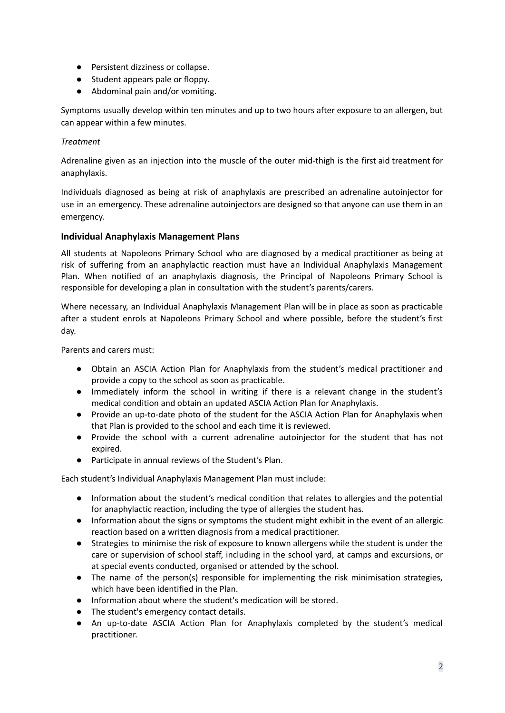- Persistent dizziness or collapse.
- Student appears pale or floppy.
- Abdominal pain and/or vomiting.

Symptoms usually develop within ten minutes and up to two hours after exposure to an allergen, but can appear within a few minutes.

# *Treatment*

Adrenaline given as an injection into the muscle of the outer mid-thigh is the first aid treatment for anaphylaxis.

Individuals diagnosed as being at risk of anaphylaxis are prescribed an adrenaline autoinjector for use in an emergency. These adrenaline autoinjectors are designed so that anyone can use them in an emergency.

# **Individual Anaphylaxis Management Plans**

All students at Napoleons Primary School who are diagnosed by a medical practitioner as being at risk of suffering from an anaphylactic reaction must have an Individual Anaphylaxis Management Plan. When notified of an anaphylaxis diagnosis, the Principal of Napoleons Primary School is responsible for developing a plan in consultation with the student's parents/carers.

Where necessary, an Individual Anaphylaxis Management Plan will be in place as soon as practicable after a student enrols at Napoleons Primary School and where possible, before the student's first day.

Parents and carers must:

- Obtain an ASCIA Action Plan for Anaphylaxis from the student's medical practitioner and provide a copy to the school as soon as practicable.
- Immediately inform the school in writing if there is a relevant change in the student's medical condition and obtain an updated ASCIA Action Plan for Anaphylaxis.
- Provide an up-to-date photo of the student for the ASCIA Action Plan for Anaphylaxis when that Plan is provided to the school and each time it is reviewed.
- Provide the school with a current adrenaline autoinjector for the student that has not expired.
- Participate in annual reviews of the Student's Plan.

Each student's Individual Anaphylaxis Management Plan must include:

- Information about the student's medical condition that relates to allergies and the potential for anaphylactic reaction, including the type of allergies the student has.
- Information about the signs or symptoms the student might exhibit in the event of an allergic reaction based on a written diagnosis from a medical practitioner.
- Strategies to minimise the risk of exposure to known allergens while the student is under the care or supervision of school staff, including in the school yard, at camps and excursions, or at special events conducted, organised or attended by the school.
- The name of the person(s) responsible for implementing the risk minimisation strategies, which have been identified in the Plan.
- Information about where the student's medication will be stored.
- The student's emergency contact details.
- An up-to-date ASCIA Action Plan for Anaphylaxis completed by the student's medical practitioner.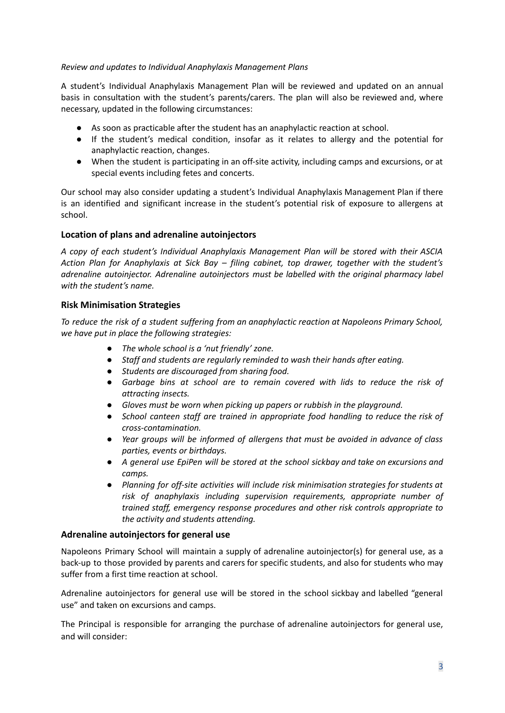#### *Review and updates to Individual Anaphylaxis Management Plans*

A student's Individual Anaphylaxis Management Plan will be reviewed and updated on an annual basis in consultation with the student's parents/carers. The plan will also be reviewed and, where necessary, updated in the following circumstances:

- As soon as practicable after the student has an anaphylactic reaction at school.
- If the student's medical condition, insofar as it relates to allergy and the potential for anaphylactic reaction, changes.
- When the student is participating in an off-site activity, including camps and excursions, or at special events including fetes and concerts.

Our school may also consider updating a student's Individual Anaphylaxis Management Plan if there is an identified and significant increase in the student's potential risk of exposure to allergens at school.

# **Location of plans and adrenaline autoinjectors**

*A copy of each student's Individual Anaphylaxis Management Plan will be stored with their ASCIA Action Plan for Anaphylaxis at Sick Bay – filing cabinet, top drawer, together with the student's adrenaline autoinjector. Adrenaline autoinjectors must be labelled with the original pharmacy label with the student's name.*

# **Risk Minimisation Strategies**

*To reduce the risk of a student suffering from an anaphylactic reaction at Napoleons Primary School, we have put in place the following strategies:*

- *● The whole school is a 'nut friendly' zone.*
- *● Staff and students are regularly reminded to wash their hands after eating.*
- *● Students are discouraged from sharing food.*
- *● Garbage bins at school are to remain covered with lids to reduce the risk of attracting insects.*
- *● Gloves must be worn when picking up papers or rubbish in the playground.*
- *● School canteen staff are trained in appropriate food handling to reduce the risk of cross-contamination.*
- *● Year groups will be informed of allergens that must be avoided in advance of class parties, events or birthdays.*
- *● A general use EpiPen will be stored at the school sickbay and take on excursions and camps.*
- *● Planning for off-site activities will include risk minimisation strategies for students at risk of anaphylaxis including supervision requirements, appropriate number of trained staff, emergency response procedures and other risk controls appropriate to the activity and students attending.*

#### **Adrenaline autoinjectors for general use**

Napoleons Primary School will maintain a supply of adrenaline autoinjector(s) for general use, as a back-up to those provided by parents and carers for specific students, and also for students who may suffer from a first time reaction at school.

Adrenaline autoinjectors for general use will be stored in the school sickbay and labelled "general use" and taken on excursions and camps.

The Principal is responsible for arranging the purchase of adrenaline autoinjectors for general use, and will consider: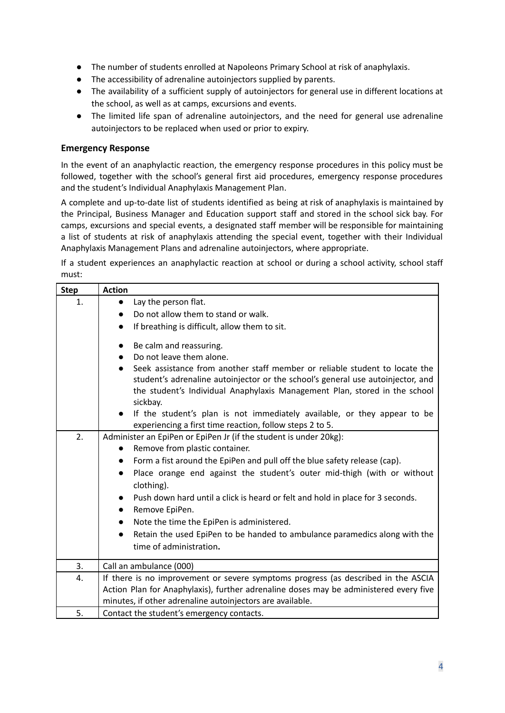- The number of students enrolled at Napoleons Primary School at risk of anaphylaxis.
- The accessibility of adrenaline autoinjectors supplied by parents.
- The availability of a sufficient supply of autoinjectors for general use in different locations at the school, as well as at camps, excursions and events.
- The limited life span of adrenaline autoinjectors, and the need for general use adrenaline autoinjectors to be replaced when used or prior to expiry.

# **Emergency Response**

In the event of an anaphylactic reaction, the emergency response procedures in this policy must be followed, together with the school's general first aid procedures, emergency response procedures and the student's Individual Anaphylaxis Management Plan.

A complete and up-to-date list of students identified as being at risk of anaphylaxis is maintained by the Principal, Business Manager and Education support staff and stored in the school sick bay. For camps, excursions and special events, a designated staff member will be responsible for maintaining a list of students at risk of anaphylaxis attending the special event, together with their Individual Anaphylaxis Management Plans and adrenaline autoinjectors, where appropriate.

If a student experiences an anaphylactic reaction at school or during a school activity, school staff must:

| <b>Step</b> | <b>Action</b>                                                                                                                                                                                                                                            |
|-------------|----------------------------------------------------------------------------------------------------------------------------------------------------------------------------------------------------------------------------------------------------------|
| 1.          | Lay the person flat.<br>$\bullet$                                                                                                                                                                                                                        |
|             | Do not allow them to stand or walk.                                                                                                                                                                                                                      |
|             | If breathing is difficult, allow them to sit.<br>$\bullet$                                                                                                                                                                                               |
|             | Be calm and reassuring.                                                                                                                                                                                                                                  |
|             | Do not leave them alone.                                                                                                                                                                                                                                 |
|             | Seek assistance from another staff member or reliable student to locate the<br>student's adrenaline autoinjector or the school's general use autoinjector, and<br>the student's Individual Anaphylaxis Management Plan, stored in the school<br>sickbay. |
|             | If the student's plan is not immediately available, or they appear to be<br>experiencing a first time reaction, follow steps 2 to 5.                                                                                                                     |
| 2.          | Administer an EpiPen or EpiPen Jr (if the student is under 20kg):                                                                                                                                                                                        |
|             | Remove from plastic container.                                                                                                                                                                                                                           |
|             | Form a fist around the EpiPen and pull off the blue safety release (cap).<br>$\bullet$                                                                                                                                                                   |
|             | Place orange end against the student's outer mid-thigh (with or without<br>clothing).                                                                                                                                                                    |
|             | Push down hard until a click is heard or felt and hold in place for 3 seconds.                                                                                                                                                                           |
|             | Remove EpiPen.<br>$\bullet$                                                                                                                                                                                                                              |
|             | Note the time the EpiPen is administered.                                                                                                                                                                                                                |
|             | Retain the used EpiPen to be handed to ambulance paramedics along with the                                                                                                                                                                               |
|             | time of administration.                                                                                                                                                                                                                                  |
| 3.          | Call an ambulance (000)                                                                                                                                                                                                                                  |
| 4.          | If there is no improvement or severe symptoms progress (as described in the ASCIA                                                                                                                                                                        |
|             | Action Plan for Anaphylaxis), further adrenaline doses may be administered every five                                                                                                                                                                    |
|             | minutes, if other adrenaline autoinjectors are available.                                                                                                                                                                                                |
| 5.          | Contact the student's emergency contacts.                                                                                                                                                                                                                |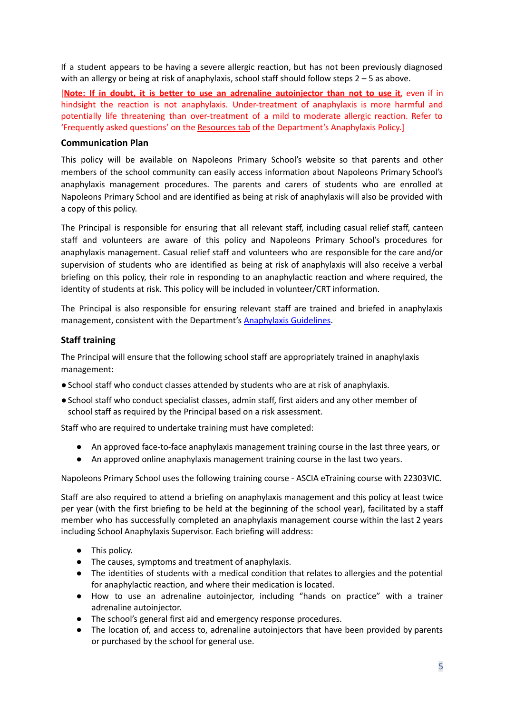If a student appears to be having a severe allergic reaction, but has not been previously diagnosed with an allergy or being at risk of anaphylaxis, school staff should follow steps 2 – 5 as above.

[**Note: If in doubt, it is better to use an adrenaline autoinjector than not to use it**, even if in hindsight the reaction is not anaphylaxis. Under-treatment of anaphylaxis is more harmful and potentially life threatening than over-treatment of a mild to moderate allergic reaction. Refer to 'Frequently asked questions' on the [Resources](https://www2.education.vic.gov.au/pal/anaphylaxis/resources) tab of the Department's Anaphylaxis Policy.]

### **Communication Plan**

This policy will be available on Napoleons Primary School's website so that parents and other members of the school community can easily access information about Napoleons Primary School's anaphylaxis management procedures. The parents and carers of students who are enrolled at Napoleons Primary School and are identified as being at risk of anaphylaxis will also be provided with a copy of this policy.

The Principal is responsible for ensuring that all relevant staff, including casual relief staff, canteen staff and volunteers are aware of this policy and Napoleons Primary School's procedures for anaphylaxis management. Casual relief staff and volunteers who are responsible for the care and/or supervision of students who are identified as being at risk of anaphylaxis will also receive a verbal briefing on this policy, their role in responding to an anaphylactic reaction and where required, the identity of students at risk. This policy will be included in volunteer/CRT information.

The Principal is also responsible for ensuring relevant staff are trained and briefed in anaphylaxis management, consistent with the Department's [Anaphylaxis](https://www2.education.vic.gov.au/pal/anaphylaxis/guidance) Guidelines.

#### **Staff training**

The Principal will ensure that the following school staff are appropriately trained in anaphylaxis management:

- ●School staff who conduct classes attended by students who are at risk of anaphylaxis.
- ●School staff who conduct specialist classes, admin staff, first aiders and any other member of school staff as required by the Principal based on a risk assessment.

Staff who are required to undertake training must have completed:

- An approved face-to-face anaphylaxis management training course in the last three years, or
- An approved online anaphylaxis management training course in the last two years.

Napoleons Primary School uses the following training course - ASCIA eTraining course with 22303VIC.

Staff are also required to attend a briefing on anaphylaxis management and this policy at least twice per year (with the first briefing to be held at the beginning of the school year), facilitated by a staff member who has successfully completed an anaphylaxis management course within the last 2 years including School Anaphylaxis Supervisor. Each briefing will address:

- This policy.
- The causes, symptoms and treatment of anaphylaxis.
- The identities of students with a medical condition that relates to allergies and the potential for anaphylactic reaction, and where their medication is located.
- How to use an adrenaline autoinjector, including "hands on practice" with a trainer adrenaline autoinjector.
- The school's general first aid and emergency response procedures.
- The location of, and access to, adrenaline autoinjectors that have been provided by parents or purchased by the school for general use.